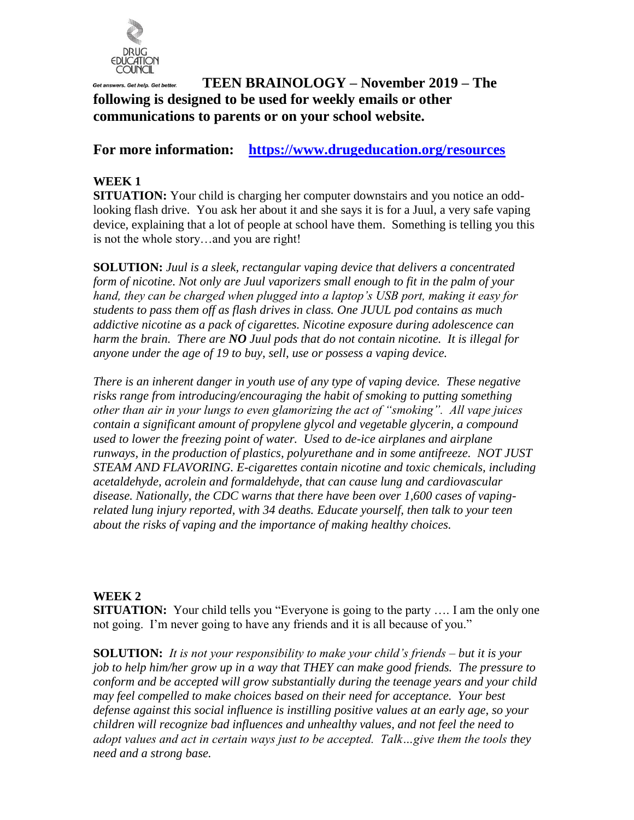

# **TEEN BRAINOLOGY – November 2019 – The following is designed to be used for weekly emails or other communications to parents or on your school website.**

## **For more information: <https://www.drugeducation.org/resources>**

## **WEEK 1**

**SITUATION:** Your child is charging her computer downstairs and you notice an oddlooking flash drive. You ask her about it and she says it is for a Juul, a very safe vaping device, explaining that a lot of people at school have them. Something is telling you this is not the whole story…and you are right!

**SOLUTION:** *Juul is a sleek, rectangular vaping device that delivers a concentrated form of nicotine. Not only are Juul vaporizers small enough to fit in the palm of your hand, they can be charged when plugged into a laptop's USB port, making it easy for students to pass them off as flash drives in class. One JUUL pod contains as much addictive nicotine as a pack of cigarettes. Nicotine exposure during adolescence can harm the brain. There are NO Juul pods that do not contain nicotine. It is illegal for anyone under the age of 19 to buy, sell, use or possess a vaping device.*

*There is an inherent danger in youth use of any type of vaping device. These negative risks range from introducing/encouraging the habit of smoking to putting something other than air in your lungs to even glamorizing the act of "smoking". All vape juices contain a significant amount of propylene glycol and vegetable glycerin, a compound used to lower the freezing point of water. Used to de-ice airplanes and airplane runways, in the production of plastics, polyurethane and in some antifreeze. NOT JUST STEAM AND FLAVORING. E-cigarettes contain nicotine and toxic chemicals, including acetaldehyde, acrolein and formaldehyde, that can cause lung and cardiovascular disease. Nationally, the CDC warns that there have been over 1,600 cases of vapingrelated lung injury reported, with 34 deaths. Educate yourself, then talk to your teen about the risks of vaping and the importance of making healthy choices.* 

### **WEEK 2**

**SITUATION:** Your child tells you "Everyone is going to the party .... I am the only one not going. I'm never going to have any friends and it is all because of you."

**SOLUTION:** *It is not your responsibility to make your child's friends – but it is your job to help him/her grow up in a way that THEY can make good friends. The pressure to conform and be accepted will grow substantially during the teenage years and your child may feel compelled to make choices based on their need for acceptance. Your best defense against this social influence is instilling positive values at an early age, so your children will recognize bad influences and unhealthy values, and not feel the need to adopt values and act in certain ways just to be accepted. Talk…give them the tools they need and a strong base.*